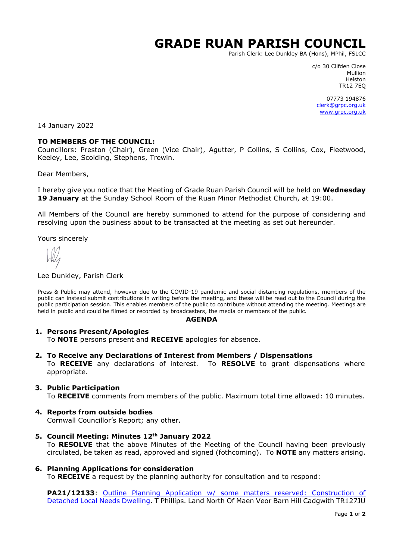# **GRADE RUAN PARISH COUNCIL**

Parish Clerk: Lee Dunkley BA (Hons), MPhil, FSLCC

c/o 30 Clifden Close Mullion Helston TR12 7EQ

07773 194876 [clerk@grpc.org.uk](mailto:clerk@grpc.org.uk) [www.grpc.org.uk](http://www.grpc.org.uk/)

14 January 2022

## **TO MEMBERS OF THE COUNCIL:**

Councillors: Preston (Chair), Green (Vice Chair), Agutter, P Collins, S Collins, Cox, Fleetwood, Keeley, Lee, Scolding, Stephens, Trewin.

Dear Members,

I hereby give you notice that the Meeting of Grade Ruan Parish Council will be held on **Wednesday 19 January** at the Sunday School Room of the Ruan Minor Methodist Church, at 19:00.

All Members of the Council are hereby summoned to attend for the purpose of considering and resolving upon the business about to be transacted at the meeting as set out hereunder.

Yours sincerely

#### Lee Dunkley, Parish Clerk

Press & Public may attend, however due to the COVID-19 pandemic and social distancing regulations, members of the public can instead submit contributions in writing before the meeting, and these will be read out to the Council during the public participation session. This enables members of the public to contribute without attending the meeting. Meetings are held in public and could be filmed or recorded by broadcasters, the media or members of the public.

#### **AGENDA**

## **1. Persons Present/Apologies**

To **NOTE** persons present and **RECEIVE** apologies for absence.

**2. To Receive any Declarations of Interest from Members / Dispensations**

To **RECEIVE** any declarations of interest. To **RESOLVE** to grant dispensations where appropriate.

## **3. Public Participation**

To **RECEIVE** comments from members of the public. Maximum total time allowed: 10 minutes.

**4. Reports from outside bodies**

Cornwall Councillor's Report; any other.

- **5. Council Meeting: Minutes 12th January 2022** To **RESOLVE** that the above Minutes of the Meeting of the Council having been previously circulated, be taken as read, approved and signed (fothcoming). To **NOTE** any matters arising.
- **6. Planning Applications for consideration**

To **RECEIVE** a request by the planning authority for consultation and to respond:

**PA21/12133**: Outline Planning Application w/ [some matters reserved: Construction of](https://planning.cornwall.gov.uk/online-applications/applicationDetails.do?activeTab=documents&keyVal=R3QZ0AFGHPV00&prevPage=inTray)  [Detached Local Needs Dwelling.](https://planning.cornwall.gov.uk/online-applications/applicationDetails.do?activeTab=documents&keyVal=R3QZ0AFGHPV00&prevPage=inTray) T Phillips. Land North Of Maen Veor Barn Hill Cadgwith TR127JU